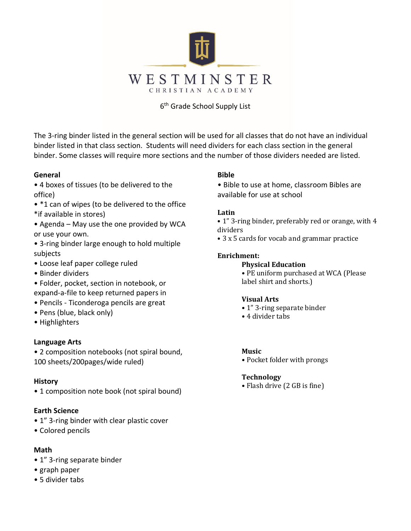

#### 6th Grade School Supply List

The 3-ring binder listed in the general section will be used for all classes that do not have an individual binder listed in that class section. Students will need dividers for each class section in the general binder. Some classes will require more sections and the number of those dividers needed are listed.

#### **General**

- 4 boxes of tissues (to be delivered to the office)
- \*1 can of wipes (to be delivered to the office \*if available in stores)
- Agenda May use the one provided by WCA or use your own.
- 3-ring binder large enough to hold multiple subjects
- Loose leaf paper college ruled
- Binder dividers
- Folder, pocket, section in notebook, or expand-a-file to keep returned papers in
- Pencils Ticonderoga pencils are great
- Pens (blue, black only)
- Highlighters

#### **Language Arts**

• 2 composition notebooks (not spiral bound, 100 sheets/200pages/wide ruled)

#### **History**

• 1 composition note book (not spiral bound)

#### **Earth Science**

- 1" 3-ring binder with clear plastic cover
- Colored pencils

#### **Math**

- 1" 3-ring separate binder
- graph paper
- 5 divider tabs

### **Bible**

• Bible to use at home, classroom Bibles are available for use at school

#### **Latin**

- 1" 3-ring binder, preferably red or orange, with 4 dividers
- 3 x 5 cards for vocab and grammar practice

#### **Enrichment:**

**Physical Education**  • PE uniform purchased at WCA (Please

label shirt and shorts.)

#### **Visual Arts**

- 1" 3-ring separate binder
- 4 divider tabs

#### **Music**

• Pocket folder with prongs

#### **Technology**

• Flash drive (2 GB is fine)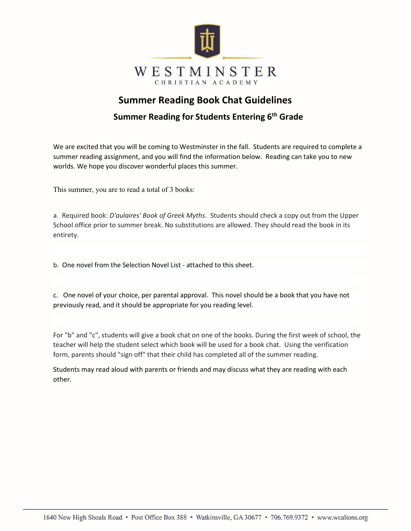

## **Summer Reading Book Chat Guidelines**

## **Summer Reading for Students Entering 6th Grade**

We are excited that you will be coming to Westminster in the fall. Students are required to complete a summer reading assignment, and you will find the information below. Reading can take you to new worlds. We hope you discover wonderful places this summer.

This summer, you are to read a total of 3 books:

a. Required book: *D'aulaires' Book of Greek Myths*. Students should check a copy out from the Upper School office prior to summer break. No substitutions are allowed. They should read the book in its entirety.

b. One novel from the Selection Novel List - attached to this sheet.

c. One novel of your choice, per parental approval. This novel should be a book that you have not previously read, and it should be appropriate for you reading level.

For "b" and "c", students will give a book chat on one of the books. During the first week of school, the teacher will help the student select which book will be used for a book chat. Using the verification form, parents should "sign off" that their child has completed all of the summer reading.

Students may read aloud with parents or friends and may discuss what they are reading with each other.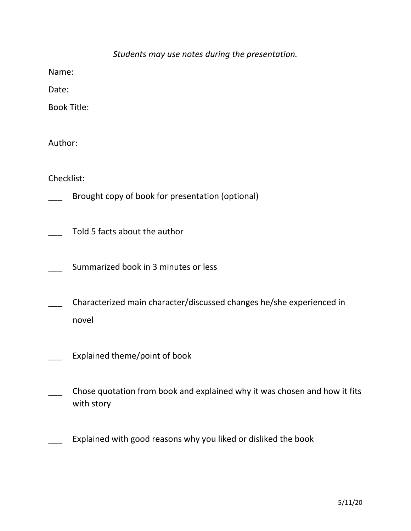|  |  |  |  |  | Students may use notes during the presentation. |
|--|--|--|--|--|-------------------------------------------------|
|--|--|--|--|--|-------------------------------------------------|

Name:

Date:

Book Title:

Author:

Checklist:

Brought copy of book for presentation (optional)

Told 5 facts about the author

Summarized book in 3 minutes or less

\_\_\_ Characterized main character/discussed changes he/she experienced in novel

- Explained theme/point of book
- \_\_\_ Chose quotation from book and explained why it was chosen and how it fits with story

Explained with good reasons why you liked or disliked the book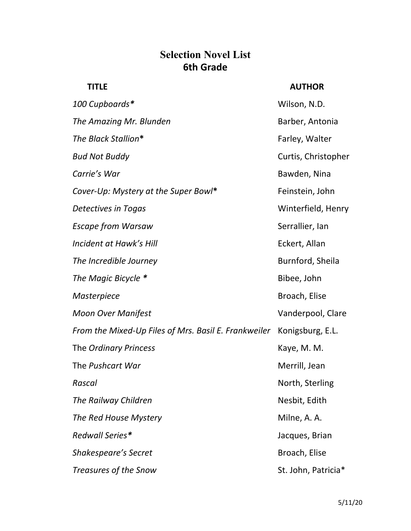## **Selection Novel List 6th Grade**

## **TITLE AUTHOR**

| 100 Cupboards*                                       | Wilson, N.D.        |
|------------------------------------------------------|---------------------|
| The Amazing Mr. Blunden                              | Barber, Antonia     |
| The Black Stallion*                                  | Farley, Walter      |
| Bud Not Buddy                                        | Curtis, Christopher |
| Carrie's War                                         | Bawden, Nina        |
| Cover-Up: Mystery at the Super Bowl*                 | Feinstein, John     |
| Detectives in Togas                                  | Winterfield, Henry  |
| Escape from Warsaw                                   | Serrallier, Ian     |
| Incident at Hawk's Hill                              | Eckert, Allan       |
| The Incredible Journey                               | Burnford, Sheila    |
| The Magic Bicycle *                                  | Bibee, John         |
| Masterpiece                                          | Broach, Elise       |
| Moon Over Manifest                                   | Vanderpool, Clare   |
| From the Mixed-Up Files of Mrs. Basil E. Frankweiler | Konigsburg, E.L.    |
| The Ordinary Princess                                | Kaye, M. M.         |
| The Pushcart War                                     | Merrill, Jean       |
| Rascal                                               | North, Sterling     |
| The Railway Children                                 | Nesbit, Edith       |
| The Red House Mystery                                | Milne, A. A.        |
| Redwall Series*                                      | Jacques, Brian      |
| Shakespeare's Secret                                 | Broach, Elise       |
| Treasures of the Snow                                | St. John, Patricia* |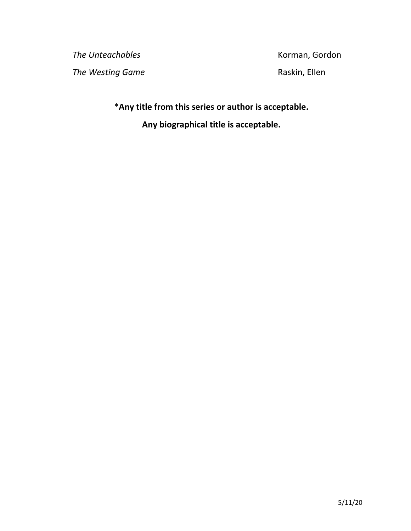**The Unteachables Korman, Gordon The Westing Game Raskin, Ellen** 

\***Any title from this series or author is acceptable. Any biographical title is acceptable.**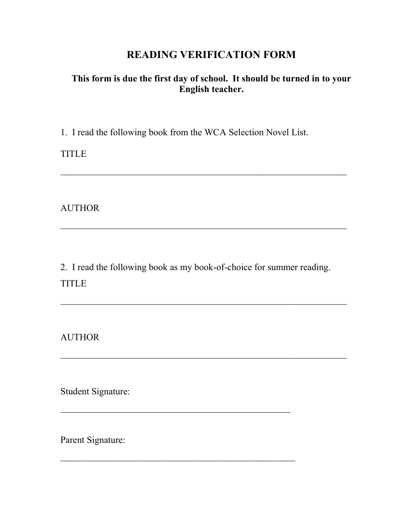## **READING VERIFICATION FORM**

## **This form is due the first day of school. It should be turned in to your English teacher.**

\_\_\_\_\_\_\_\_\_\_\_\_\_\_\_\_\_\_\_\_\_\_\_\_\_\_\_\_\_\_\_\_\_\_\_\_\_\_\_\_\_\_\_\_\_\_\_\_\_\_\_\_\_\_\_\_\_\_\_\_\_

1. I read the following book from the WCA Selection Novel List.

TITLE

AUTHOR

2. I read the following book as my book-of-choice for summer reading. TITLE

 $\mathcal{L}_\text{max} = \frac{1}{2} \sum_{i=1}^{n} \frac{1}{2} \sum_{i=1}^{n} \frac{1}{2} \sum_{i=1}^{n} \frac{1}{2} \sum_{i=1}^{n} \frac{1}{2} \sum_{i=1}^{n} \frac{1}{2} \sum_{i=1}^{n} \frac{1}{2} \sum_{i=1}^{n} \frac{1}{2} \sum_{i=1}^{n} \frac{1}{2} \sum_{i=1}^{n} \frac{1}{2} \sum_{i=1}^{n} \frac{1}{2} \sum_{i=1}^{n} \frac{1}{2} \sum_{i=1}^{n} \frac{1$ 

 $\mathcal{L}_\text{max}$  , and the contract of the contract of the contract of the contract of the contract of the contract of the contract of the contract of the contract of the contract of the contract of the contract of the contr

 $\mathcal{L}_\text{max}$  and the contract of the contract of the contract of the contract of the contract of the contract of the contract of the contract of the contract of the contract of the contract of the contract of the contrac

AUTHOR

Student Signature:

Parent Signature: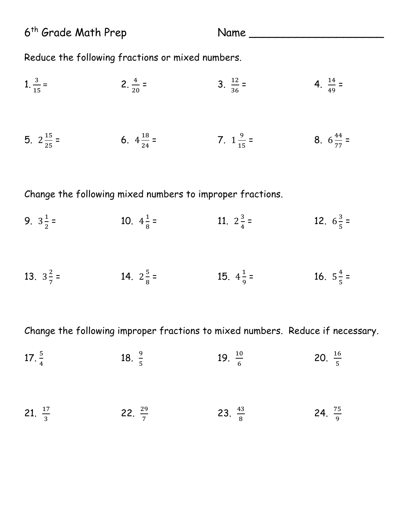6<sup>th</sup> Grade Math Prep Name Name

Reduce the following fractions or mixed numbers.

| 1. $\frac{3}{15}$ =   | 2. $\frac{4}{20}$ =   | 3. $\frac{12}{36}$ = | 4. $\frac{14}{49}$ =  |
|-----------------------|-----------------------|----------------------|-----------------------|
| 5. $2\frac{15}{25}$ = | 6. $4\frac{18}{24}$ = | 7. $1\frac{9}{15}$ = | 8. $6\frac{44}{77}$ = |

Change the following mixed numbers to improper fractions.

- 9.  $3\frac{1}{2}$  $=$  10.  $4\frac{1}{8}$  $=$  11.  $2\frac{3}{4}$  $=$  12.  $6\frac{3}{5}$  =
- 13.  $3\frac{2}{7}$  $=$  14.  $2\frac{5}{8}$  $=$  15.  $4\frac{1}{9}$  $=$  16.  $5\frac{4}{5}$  =

Change the following improper fractions to mixed numbers. Reduce if necessary.

| 17. $\frac{5}{4}$  | 18. $\frac{9}{5}$  | 19. $\frac{10}{6}$ | 20. $\frac{16}{5}$ |
|--------------------|--------------------|--------------------|--------------------|
| 21. $\frac{17}{3}$ | 22. $\frac{29}{7}$ | 23. $\frac{43}{8}$ | 24. $\frac{75}{9}$ |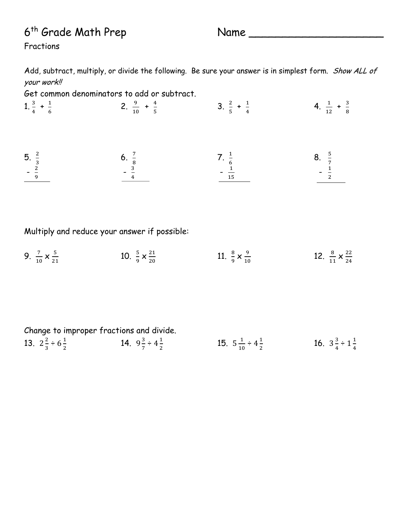# 6<sup>th</sup> Grade Math Prep Name

Fractions

Add, subtract, multiply, or divide the following. Be sure your answer is in simplest form. Show ALL of your work!!

Get common denominators to add or subtract.

| 1. $\frac{3}{4}$ + $\frac{1}{6}$    | 2. $\frac{9}{10}$ + $\frac{4}{5}$   | 3. $\frac{2}{5} + \frac{1}{4}$       | 4. $\frac{1}{12} + \frac{3}{8}$   |
|-------------------------------------|-------------------------------------|--------------------------------------|-----------------------------------|
| 5. $\frac{2}{3}$<br>- $\frac{2}{9}$ | 6. $\frac{7}{8}$<br>$- \frac{3}{4}$ | 7. $\frac{1}{6}$<br>- $\frac{1}{15}$ | 8. $\frac{5}{7}$<br>$\frac{1}{2}$ |

Multiply and reduce your answer if possible:

9.  $\frac{7}{10} \times \frac{5}{21}$  $21$ 10.  $\frac{5}{9} \times \frac{21}{20}$  $20$ 11.  $\frac{8}{9} \times \frac{9}{10}$ 10 12.  $\frac{8}{11} \times \frac{22}{24}$  $^{24}$ 

|                                      | Change to improper fractions and divide. |                                       |                                      |
|--------------------------------------|------------------------------------------|---------------------------------------|--------------------------------------|
| 13. $2\frac{2}{3} \div 6\frac{1}{2}$ | 14. $9\frac{3}{7} \div 4\frac{1}{2}$     | 15. $5\frac{1}{10} \div 4\frac{1}{2}$ | 16. $3\frac{3}{4} \div 1\frac{1}{4}$ |